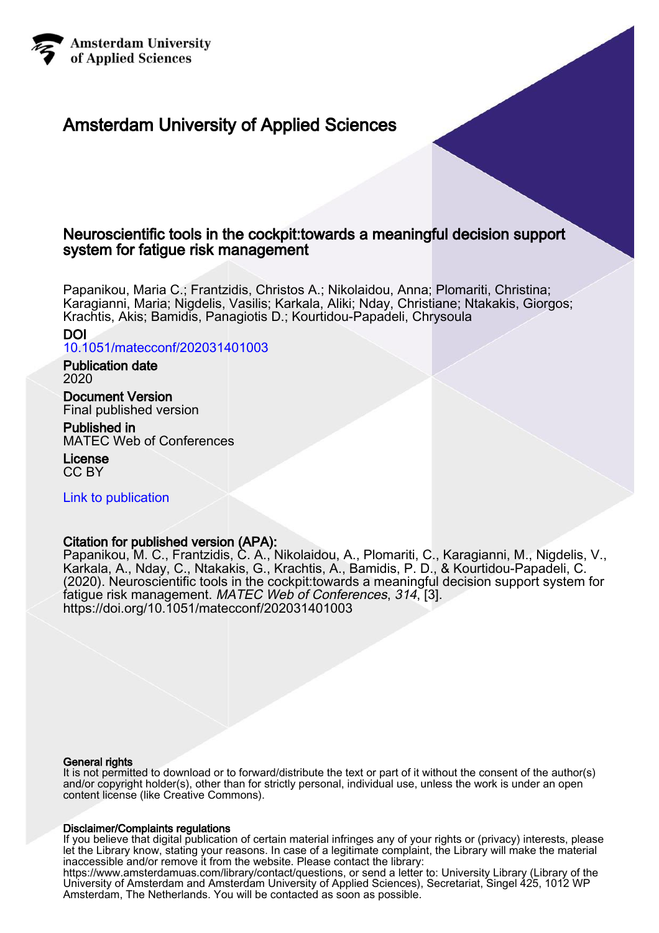

# Amsterdam University of Applied Sciences

# Neuroscientific tools in the cockpit:towards a meaningful decision support system for fatigue risk management

Papanikou, Maria C.; Frantzidis, Christos A.; Nikolaidou, Anna; Plomariti, Christina; Karagianni, Maria; Nigdelis, Vasilis; Karkala, Aliki; Nday, Christiane; Ntakakis, Giorgos; Krachtis, Akis; Bamidis, Panagiotis D.; Kourtidou-Papadeli, Chrysoula

# DOI

[10.1051/matecconf/202031401003](https://doi.org/10.1051/matecconf/202031401003)

## Publication date 2020

Document Version Final published version

Published in MATEC Web of Conferences

License CC BY

[Link to publication](https://research.hva.nl/en/publications/b14a993d-d33e-4c4e-b9c5-1d1b4982918e)

# Citation for published version (APA):

Papanikou, M. C., Frantzidis, C. A., Nikolaidou, A., Plomariti, C., Karagianni, M., Nigdelis, V., Karkala, A., Nday, C., Ntakakis, G., Krachtis, A., Bamidis, P. D., & Kourtidou-Papadeli, C. (2020). Neuroscientific tools in the cockpit:towards a meaningful decision support system for fatigue risk management. MATEC Web of Conferences, 314, [3]. <https://doi.org/10.1051/matecconf/202031401003>

#### General rights

It is not permitted to download or to forward/distribute the text or part of it without the consent of the author(s) and/or copyright holder(s), other than for strictly personal, individual use, unless the work is under an open content license (like Creative Commons).

## Disclaimer/Complaints regulations

If you believe that digital publication of certain material infringes any of your rights or (privacy) interests, please let the Library know, stating your reasons. In case of a legitimate complaint, the Library will make the material inaccessible and/or remove it from the website. Please contact the library:

https://www.amsterdamuas.com/library/contact/questions, or send a letter to: University Library (Library of the University of Amsterdam and Amsterdam University of Applied Sciences), Secretariat, Singel 425, 1012 WP Amsterdam, The Netherlands. You will be contacted as soon as possible.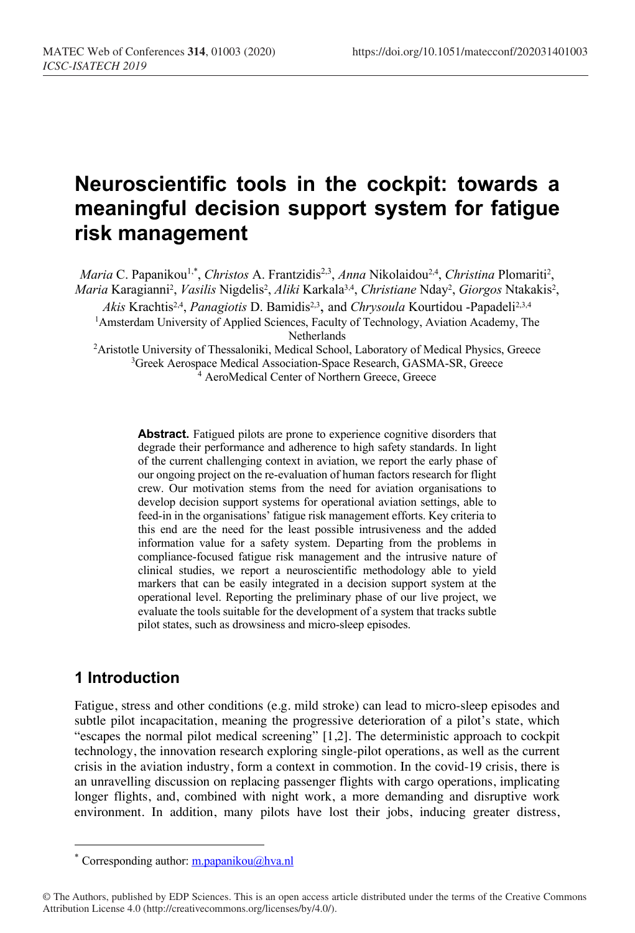# **Neuroscientific tools in the cockpit: towards a meaningful decision support system for fatigue risk management**

Maria C. Papanikou<sup>1,\*</sup>, *Christos* A. Frantzidis<sup>2,3</sup>, *Anna* Nikolaidou<sup>2,4</sup>, *Christina* Plomariti<sup>2</sup>, Maria Karagianni<sup>2</sup>, *Vasilis* Nigdelis<sup>2</sup>, *Aliki* Karkala<sup>3,4</sup>, *Christiane* Nday<sup>2</sup>, *Giorgos* Ntakakis<sup>2</sup>,

Akis Krachtis<sup>2,4</sup>, *Panagiotis* D. Bamidis<sup>2,3</sup>, and *Chrysoula* Kourtidou -Papadeli<sup>2,3,4</sup>

<sup>1</sup>Amsterdam University of Applied Sciences, Faculty of Technology, Aviation Academy, The **Netherlands** 

<sup>2</sup> Aristotle University of Thessaloniki, Medical School, Laboratory of Medical Physics, Greece <sup>3</sup>Greek Aerospace Medical Association-Space Research, GASMA-SR, Greece <sup>4</sup> AeroMedical Center of Northern Greece, Greece

**Abstract.** Fatigued pilots are prone to experience cognitive disorders that degrade their performance and adherence to high safety standards. In light of the current challenging context in aviation, we report the early phase of our ongoing project on the re-evaluation of human factors research for flight crew. Our motivation stems from the need for aviation organisations to develop decision support systems for operational aviation settings, able to feed-in in the organisations' fatigue risk management efforts. Key criteria to this end are the need for the least possible intrusiveness and the added information value for a safety system. Departing from the problems in compliance-focused fatigue risk management and the intrusive nature of clinical studies, we report a neuroscientific methodology able to yield markers that can be easily integrated in a decision support system at the operational level. Reporting the preliminary phase of our live project, we evaluate the tools suitable for the development of a system that tracks subtle pilot states, such as drowsiness and micro-sleep episodes.

# **1 Introduction**

Fatigue, stress and other conditions (e.g. mild stroke) can lead to micro-sleep episodes and subtle pilot incapacitation, meaning the progressive deterioration of a pilot's state, which "escapes the normal pilot medical screening" [1,2]. The deterministic approach to cockpit technology, the innovation research exploring single-pilot operations, as well as the current crisis in the aviation industry, form a context in commotion. In the covid-19 crisis, there is an unravelling discussion on replacing passenger flights with cargo operations, implicating longer flights, and, combined with night work, a more demanding and disruptive work environment. In addition, many pilots have lost their jobs, inducing greater distress,

Corresponding author:  $m.papanikou@hva.nl$ 

<sup>©</sup> The Authors, published by EDP Sciences. This is an open access article distributed under the terms of the Creative Commons Attribution License 4.0 (http://creativecommons.org/licenses/by/4.0/).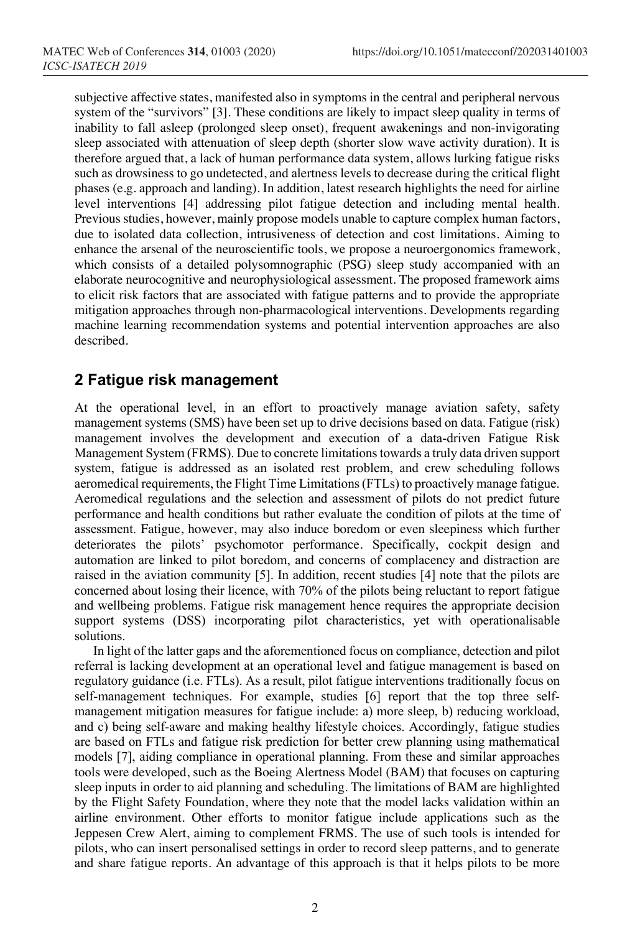subjective affective states, manifested also in symptoms in the central and peripheral nervous system of the "survivors" [3]. These conditions are likely to impact sleep quality in terms of inability to fall asleep (prolonged sleep onset), frequent awakenings and non-invigorating sleep associated with attenuation of sleep depth (shorter slow wave activity duration). It is therefore argued that, a lack of human performance data system, allows lurking fatigue risks such as drowsiness to go undetected, and alertness levels to decrease during the critical flight phases (e.g. approach and landing). In addition, latest research highlights the need for airline level interventions [4] addressing pilot fatigue detection and including mental health. Previous studies, however, mainly propose models unable to capture complex human factors, due to isolated data collection, intrusiveness of detection and cost limitations. Aiming to enhance the arsenal of the neuroscientific tools, we propose a neuroergonomics framework, which consists of a detailed polysomnographic (PSG) sleep study accompanied with an elaborate neurocognitive and neurophysiological assessment. The proposed framework aims to elicit risk factors that are associated with fatigue patterns and to provide the appropriate mitigation approaches through non-pharmacological interventions. Developments regarding machine learning recommendation systems and potential intervention approaches are also described.

## **2 Fatigue risk management**

At the operational level, in an effort to proactively manage aviation safety, safety management systems (SMS) have been set up to drive decisions based on data. Fatigue (risk) management involves the development and execution of a data-driven Fatigue Risk Management System (FRMS). Due to concrete limitations towards a truly data driven support system, fatigue is addressed as an isolated rest problem, and crew scheduling follows aeromedical requirements, the Flight Time Limitations (FTLs) to proactively manage fatigue. Aeromedical regulations and the selection and assessment of pilots do not predict future performance and health conditions but rather evaluate the condition of pilots at the time of assessment. Fatigue, however, may also induce boredom or even sleepiness which further deteriorates the pilots' psychomotor performance. Specifically, cockpit design and automation are linked to pilot boredom, and concerns of complacency and distraction are raised in the aviation community [5]. In addition, recent studies [4] note that the pilots are concerned about losing their licence, with 70% of the pilots being reluctant to report fatigue and wellbeing problems. Fatigue risk management hence requires the appropriate decision support systems (DSS) incorporating pilot characteristics, yet with operationalisable solutions.

In light of the latter gaps and the aforementioned focus on compliance, detection and pilot referral is lacking development at an operational level and fatigue management is based on regulatory guidance (i.e. FTLs). As a result, pilot fatigue interventions traditionally focus on self-management techniques. For example, studies [6] report that the top three selfmanagement mitigation measures for fatigue include: a) more sleep, b) reducing workload, and c) being self-aware and making healthy lifestyle choices. Accordingly, fatigue studies are based on FTLs and fatigue risk prediction for better crew planning using mathematical models [7], aiding compliance in operational planning. From these and similar approaches tools were developed, such as the Boeing Alertness Model (BAM) that focuses on capturing sleep inputs in order to aid planning and scheduling. The limitations of BAM are highlighted by the Flight Safety Foundation, where they note that the model lacks validation within an airline environment. Other efforts to monitor fatigue include applications such as the Jeppesen Crew Alert, aiming to complement FRMS. The use of such tools is intended for pilots, who can insert personalised settings in order to record sleep patterns, and to generate and share fatigue reports. An advantage of this approach is that it helps pilots to be more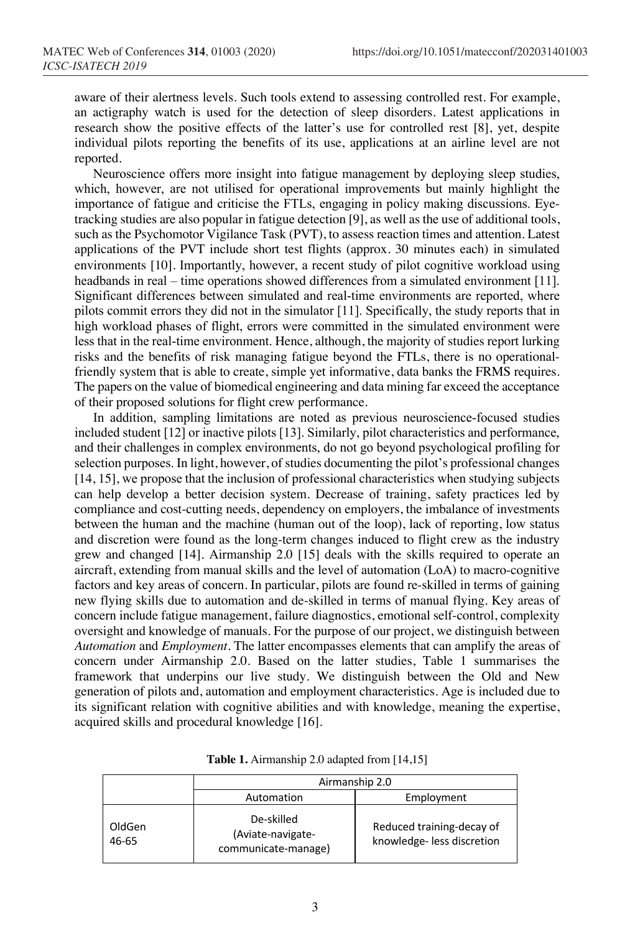aware of their alertness levels. Such tools extend to assessing controlled rest. For example, an actigraphy watch is used for the detection of sleep disorders. Latest applications in research show the positive effects of the latter's use for controlled rest [8], yet, despite individual pilots reporting the benefits of its use, applications at an airline level are not reported.

Neuroscience offers more insight into fatigue management by deploying sleep studies, which, however, are not utilised for operational improvements but mainly highlight the importance of fatigue and criticise the FTLs, engaging in policy making discussions. Eyetracking studies are also popular in fatigue detection [9], as well as the use of additional tools, such as the Psychomotor Vigilance Task (PVT), to assess reaction times and attention. Latest applications of the PVT include short test flights (approx. 30 minutes each) in simulated environments [10]. Importantly, however, a recent study of pilot cognitive workload using headbands in real – time operations showed differences from a simulated environment [11]. Significant differences between simulated and real-time environments are reported, where pilots commit errors they did not in the simulator [11]. Specifically, the study reports that in high workload phases of flight, errors were committed in the simulated environment were less that in the real-time environment. Hence, although, the majority of studies report lurking risks and the benefits of risk managing fatigue beyond the FTLs, there is no operationalfriendly system that is able to create, simple yet informative, data banks the FRMS requires. The papers on the value of biomedical engineering and data mining far exceed the acceptance of their proposed solutions for flight crew performance.

In addition, sampling limitations are noted as previous neuroscience-focused studies included student [12] or inactive pilots [13]. Similarly, pilot characteristics and performance, and their challenges in complex environments, do not go beyond psychological profiling for selection purposes. In light, however, of studies documenting the pilot's professional changes [14, 15], we propose that the inclusion of professional characteristics when studying subjects can help develop a better decision system. Decrease of training, safety practices led by compliance and cost-cutting needs, dependency on employers, the imbalance of investments between the human and the machine (human out of the loop), lack of reporting, low status and discretion were found as the long-term changes induced to flight crew as the industry grew and changed [14]. Airmanship 2.0 [15] deals with the skills required to operate an aircraft, extending from manual skills and the level of automation (LoA) to macro-cognitive factors and key areas of concern. In particular, pilots are found re-skilled in terms of gaining new flying skills due to automation and de-skilled in terms of manual flying. Key areas of concern include fatigue management, failure diagnostics, emotional self-control, complexity oversight and knowledge of manuals. For the purpose of our project, we distinguish between *Automation* and *Employment*. The latter encompasses elements that can amplify the areas of concern under Airmanship 2.0. Based on the latter studies, Table 1 summarises the framework that underpins our live study. We distinguish between the Old and New generation of pilots and, automation and employment characteristics. Age is included due to its significant relation with cognitive abilities and with knowledge, meaning the expertise, acquired skills and procedural knowledge [16].

|                 | Airmanship 2.0                                         |                                                        |  |
|-----------------|--------------------------------------------------------|--------------------------------------------------------|--|
|                 | Automation                                             | Employment                                             |  |
| OldGen<br>46-65 | De-skilled<br>(Aviate-navigate-<br>communicate-manage) | Reduced training-decay of<br>knowledge-less discretion |  |

**Table 1.** Airmanship 2.0 adapted from [14,15]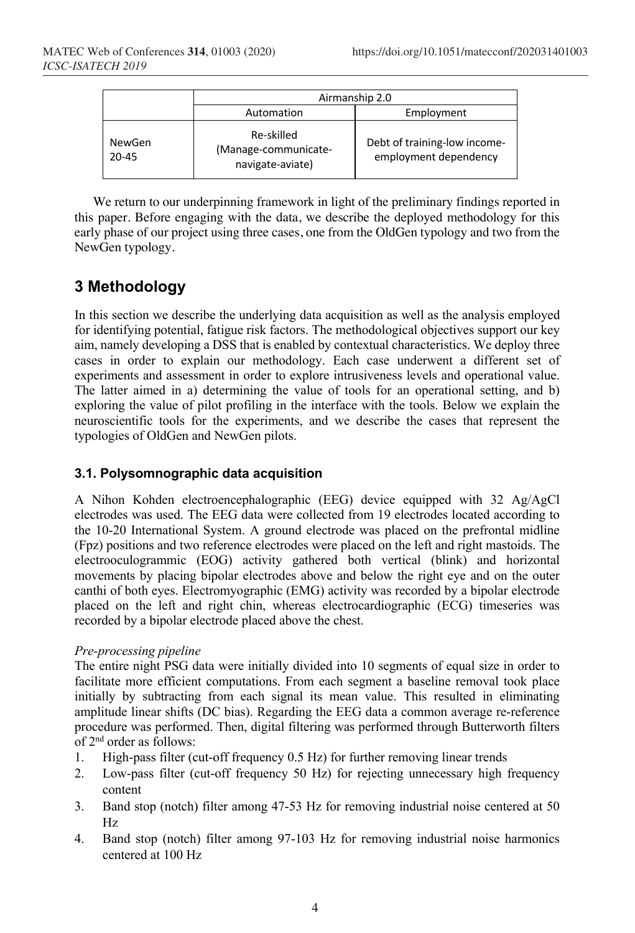|                     | Airmanship 2.0                                         |                                                       |  |
|---------------------|--------------------------------------------------------|-------------------------------------------------------|--|
|                     | Automation                                             | Employment                                            |  |
| NewGen<br>$20 - 45$ | Re-skilled<br>(Manage-communicate-<br>navigate-aviate) | Debt of training-low income-<br>employment dependency |  |

We return to our underpinning framework in light of the preliminary findings reported in this paper. Before engaging with the data, we describe the deployed methodology for this early phase of our project using three cases, one from the OldGen typology and two from the NewGen typology.

# **3 Methodology**

In this section we describe the underlying data acquisition as well as the analysis employed for identifying potential, fatigue risk factors. The methodological objectives support our key aim, namely developing a DSS that is enabled by contextual characteristics. We deploy three cases in order to explain our methodology. Each case underwent a different set of experiments and assessment in order to explore intrusiveness levels and operational value. The latter aimed in a) determining the value of tools for an operational setting, and b) exploring the value of pilot profiling in the interface with the tools. Below we explain the neuroscientific tools for the experiments, and we describe the cases that represent the typologies of OldGen and NewGen pilots.

### **3.1. Polysomnographic data acquisition**

A Nihon Kohden electroencephalographic (EEG) device equipped with 32 Ag/AgCl electrodes was used. The EEG data were collected from 19 electrodes located according to the 10-20 International System. A ground electrode was placed on the prefrontal midline (Fpz) positions and two reference electrodes were placed on the left and right mastoids. The electrooculogrammic (EOG) activity gathered both vertical (blink) and horizontal movements by placing bipolar electrodes above and below the right eye and on the outer canthi of both eyes. Electromyographic (EMG) activity was recorded by a bipolar electrode placed on the left and right chin, whereas electrocardiographic (ECG) timeseries was recorded by a bipolar electrode placed above the chest.

#### *Pre-processing pipeline*

The entire night PSG data were initially divided into 10 segments of equal size in order to facilitate more efficient computations. From each segment a baseline removal took place initially by subtracting from each signal its mean value. This resulted in eliminating amplitude linear shifts (DC bias). Regarding the EEG data a common average re-reference procedure was performed. Then, digital filtering was performed through Butterworth filters of 2nd order as follows:

- 1. High-pass filter (cut-off frequency 0.5 Hz) for further removing linear trends
- 2. Low-pass filter (cut-off frequency 50 Hz) for rejecting unnecessary high frequency content
- 3. Band stop (notch) filter among 47-53 Hz for removing industrial noise centered at 50 Hz
- 4. Band stop (notch) filter among 97-103 Hz for removing industrial noise harmonics centered at 100 Hz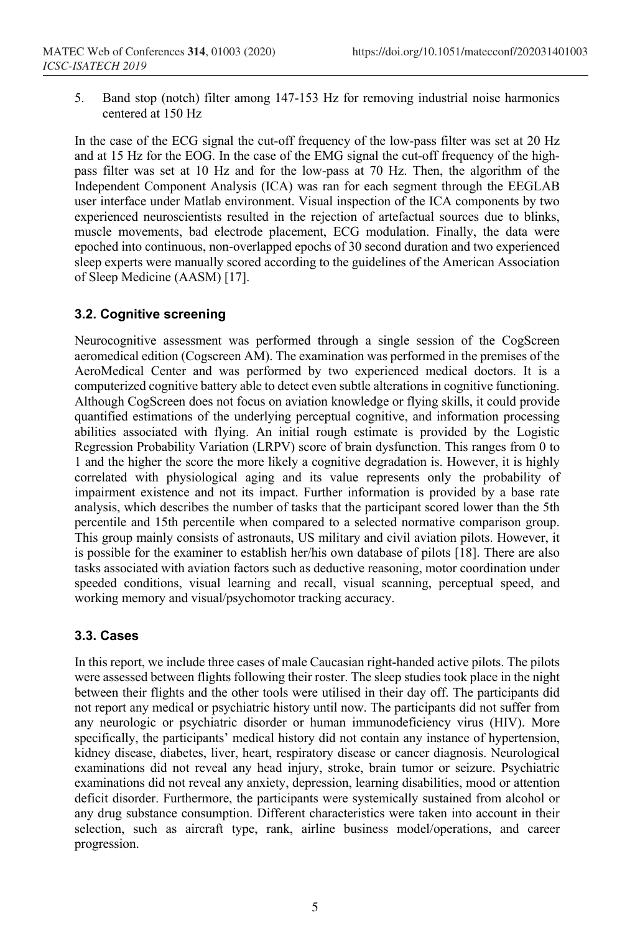5. Band stop (notch) filter among 147-153 Hz for removing industrial noise harmonics centered at 150 Hz

In the case of the ECG signal the cut-off frequency of the low-pass filter was set at 20 Hz and at 15 Hz for the EOG. In the case of the EMG signal the cut-off frequency of the highpass filter was set at 10 Hz and for the low-pass at 70 Hz. Then, the algorithm of the Independent Component Analysis (ICA) was ran for each segment through the EEGLAB user interface under Matlab environment. Visual inspection of the ICA components by two experienced neuroscientists resulted in the rejection of artefactual sources due to blinks, muscle movements, bad electrode placement, ECG modulation. Finally, the data were epoched into continuous, non-overlapped epochs of 30 second duration and two experienced sleep experts were manually scored according to the guidelines of the American Association of Sleep Medicine (AASM) [17].

## **3.2. Cognitive screening**

Neurocognitive assessment was performed through a single session of the CogScreen aeromedical edition (Cogscreen AM). The examination was performed in the premises of the AeroMedical Center and was performed by two experienced medical doctors. It is a computerized cognitive battery able to detect even subtle alterations in cognitive functioning. Although CogScreen does not focus on aviation knowledge or flying skills, it could provide quantified estimations of the underlying perceptual cognitive, and information processing abilities associated with flying. An initial rough estimate is provided by the Logistic Regression Probability Variation (LRPV) score of brain dysfunction. This ranges from 0 to 1 and the higher the score the more likely a cognitive degradation is. However, it is highly correlated with physiological aging and its value represents only the probability of impairment existence and not its impact. Further information is provided by a base rate analysis, which describes the number of tasks that the participant scored lower than the 5th percentile and 15th percentile when compared to a selected normative comparison group. This group mainly consists of astronauts, US military and civil aviation pilots. However, it is possible for the examiner to establish her/his own database of pilots [18]. There are also tasks associated with aviation factors such as deductive reasoning, motor coordination under speeded conditions, visual learning and recall, visual scanning, perceptual speed, and working memory and visual/psychomotor tracking accuracy.

## **3.3. Cases**

In this report, we include three cases of male Caucasian right-handed active pilots. The pilots were assessed between flights following their roster. The sleep studies took place in the night between their flights and the other tools were utilised in their day off. The participants did not report any medical or psychiatric history until now. The participants did not suffer from any neurologic or psychiatric disorder or human immunodeficiency virus (HIV). More specifically, the participants' medical history did not contain any instance of hypertension, kidney disease, diabetes, liver, heart, respiratory disease or cancer diagnosis. Neurological examinations did not reveal any head injury, stroke, brain tumor or seizure. Psychiatric examinations did not reveal any anxiety, depression, learning disabilities, mood or attention deficit disorder. Furthermore, the participants were systemically sustained from alcohol or any drug substance consumption. Different characteristics were taken into account in their selection, such as aircraft type, rank, airline business model/operations, and career progression.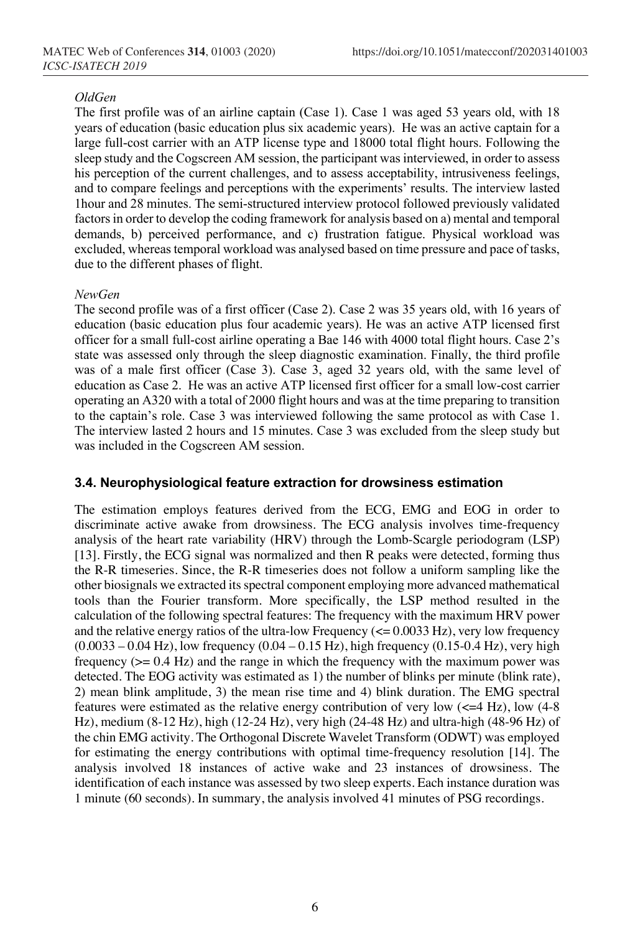#### *OldGen*

The first profile was of an airline captain (Case 1). Case 1 was aged 53 years old, with 18 years of education (basic education plus six academic years). He was an active captain for a large full-cost carrier with an ATP license type and 18000 total flight hours. Following the sleep study and the Cogscreen AM session, the participant was interviewed, in order to assess his perception of the current challenges, and to assess acceptability, intrusiveness feelings, and to compare feelings and perceptions with the experiments' results. The interview lasted 1hour and 28 minutes. The semi-structured interview protocol followed previously validated factors in order to develop the coding framework for analysis based on a) mental and temporal demands, b) perceived performance, and c) frustration fatigue. Physical workload was excluded, whereas temporal workload was analysed based on time pressure and pace of tasks, due to the different phases of flight.

#### *NewGen*

The second profile was of a first officer (Case 2). Case 2 was 35 years old, with 16 years of education (basic education plus four academic years). He was an active ATP licensed first officer for a small full-cost airline operating a Bae 146 with 4000 total flight hours. Case 2's state was assessed only through the sleep diagnostic examination. Finally, the third profile was of a male first officer (Case 3). Case 3, aged 32 years old, with the same level of education as Case 2. He was an active ATP licensed first officer for a small low-cost carrier operating an A320 with a total of 2000 flight hours and was at the time preparing to transition to the captain's role. Case 3 was interviewed following the same protocol as with Case 1. The interview lasted 2 hours and 15 minutes. Case 3 was excluded from the sleep study but was included in the Cogscreen AM session.

#### **3.4. Neurophysiological feature extraction for drowsiness estimation**

The estimation employs features derived from the ECG, EMG and EOG in order to discriminate active awake from drowsiness. The ECG analysis involves time-frequency analysis of the heart rate variability (HRV) through the Lomb-Scargle periodogram (LSP) [13]. Firstly, the ECG signal was normalized and then R peaks were detected, forming thus the R-R timeseries. Since, the R-R timeseries does not follow a uniform sampling like the other biosignals we extracted its spectral component employing more advanced mathematical tools than the Fourier transform. More specifically, the LSP method resulted in the calculation of the following spectral features: The frequency with the maximum HRV power and the relative energy ratios of the ultra-low Frequency  $\approx$  0.0033 Hz), very low frequency  $(0.0033 - 0.04 \text{ Hz})$ , low frequency  $(0.04 - 0.15 \text{ Hz})$ , high frequency  $(0.15 - 0.4 \text{ Hz})$ , very high frequency  $(>= 0.4 \text{ Hz})$  and the range in which the frequency with the maximum power was detected. The EOG activity was estimated as 1) the number of blinks per minute (blink rate), 2) mean blink amplitude, 3) the mean rise time and 4) blink duration. The EMG spectral features were estimated as the relative energy contribution of very low  $(<=4$  Hz), low  $(4-8)$ Hz), medium (8-12 Hz), high (12-24 Hz), very high (24-48 Hz) and ultra-high (48-96 Hz) of the chin EMG activity. The Orthogonal Discrete Wavelet Transform (ODWT) was employed for estimating the energy contributions with optimal time-frequency resolution [14]. The analysis involved 18 instances of active wake and 23 instances of drowsiness. The identification of each instance was assessed by two sleep experts. Each instance duration was 1 minute (60 seconds). In summary, the analysis involved 41 minutes of PSG recordings.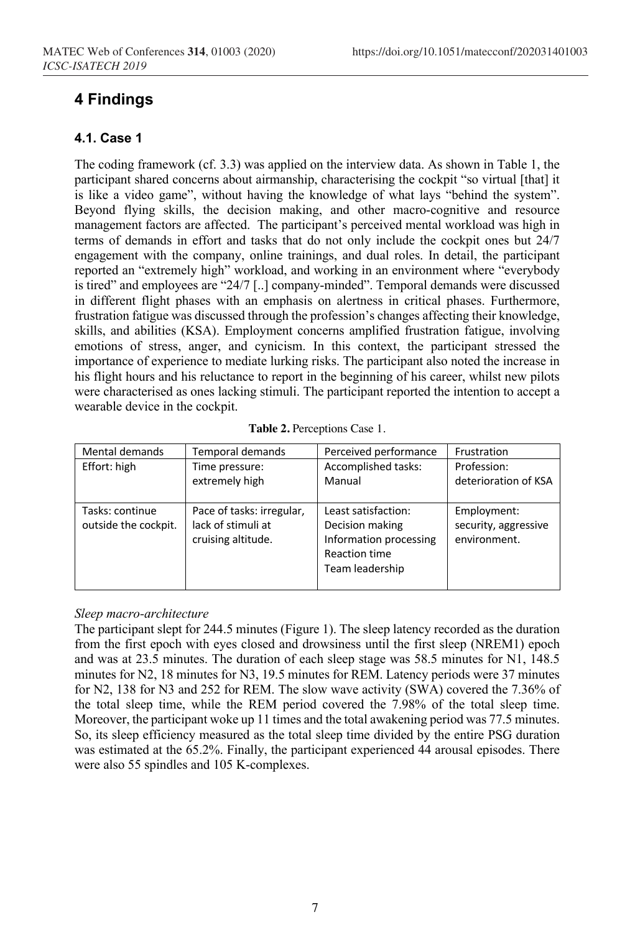# **4 Findings**

### **4.1. Case 1**

The coding framework (cf. 3.3) was applied on the interview data. As shown in Table 1, the participant shared concerns about airmanship, characterising the cockpit "so virtual [that] it is like a video game", without having the knowledge of what lays "behind the system". Beyond flying skills, the decision making, and other macro-cognitive and resource management factors are affected. The participant's perceived mental workload was high in terms of demands in effort and tasks that do not only include the cockpit ones but 24/7 engagement with the company, online trainings, and dual roles. In detail, the participant reported an "extremely high" workload, and working in an environment where "everybody is tired" and employees are "24/7 [..] company-minded". Temporal demands were discussed in different flight phases with an emphasis on alertness in critical phases. Furthermore, frustration fatigue was discussed through the profession's changes affecting their knowledge, skills, and abilities (KSA). Employment concerns amplified frustration fatigue, involving emotions of stress, anger, and cynicism. In this context, the participant stressed the importance of experience to mediate lurking risks. The participant also noted the increase in his flight hours and his reluctance to report in the beginning of his career, whilst new pilots were characterised as ones lacking stimuli. The participant reported the intention to accept a wearable device in the cockpit.

| Mental demands                          | Temporal demands                                                      | Perceived performance                                                                                | Frustration                                         |
|-----------------------------------------|-----------------------------------------------------------------------|------------------------------------------------------------------------------------------------------|-----------------------------------------------------|
| Effort: high                            | Time pressure:<br>extremely high                                      | Accomplished tasks:<br>Manual                                                                        | Profession:<br>deterioration of KSA                 |
| Tasks: continue<br>outside the cockpit. | Pace of tasks: irregular,<br>lack of stimuli at<br>cruising altitude. | Least satisfaction:<br>Decision making<br>Information processing<br>Reaction time<br>Team leadership | Employment:<br>security, aggressive<br>environment. |

#### *Sleep macro-architecture*

The participant slept for 244.5 minutes (Figure 1). The sleep latency recorded as the duration from the first epoch with eyes closed and drowsiness until the first sleep (NREM1) epoch and was at 23.5 minutes. The duration of each sleep stage was 58.5 minutes for N1, 148.5 minutes for N2, 18 minutes for N3, 19.5 minutes for REM. Latency periods were 37 minutes for N2, 138 for N3 and 252 for REM. The slow wave activity (SWA) covered the 7.36% of the total sleep time, while the REM period covered the 7.98% of the total sleep time. Moreover, the participant woke up 11 times and the total awakening period was 77.5 minutes. So, its sleep efficiency measured as the total sleep time divided by the entire PSG duration was estimated at the 65.2%. Finally, the participant experienced 44 arousal episodes. There were also 55 spindles and 105 K-complexes.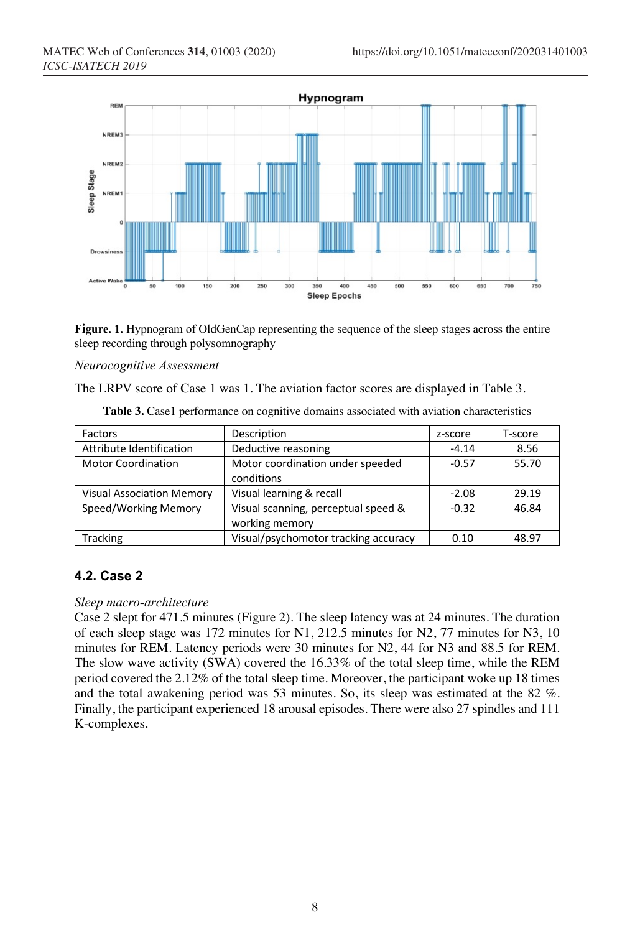

**Figure. 1.** Hypnogram of OldGenCap representing the sequence of the sleep stages across the entire sleep recording through polysomnography

#### *Neurocognitive Assessment*

The LRPV score of Case 1 was 1. The aviation factor scores are displayed in Table 3.

| Factors                          | Description                          | z-score | T-score |
|----------------------------------|--------------------------------------|---------|---------|
| Attribute Identification         | Deductive reasoning                  | $-4.14$ | 8.56    |
| <b>Motor Coordination</b>        | Motor coordination under speeded     | $-0.57$ | 55.70   |
|                                  | conditions                           |         |         |
| <b>Visual Association Memory</b> | Visual learning & recall             | $-2.08$ | 29.19   |
| Speed/Working Memory             | Visual scanning, perceptual speed &  | $-0.32$ | 46.84   |
|                                  | working memory                       |         |         |
| Tracking                         | Visual/psychomotor tracking accuracy | 0.10    | 48.97   |

|  |  |  |  | Table 3. Case1 performance on cognitive domains associated with aviation characteristics |
|--|--|--|--|------------------------------------------------------------------------------------------|
|--|--|--|--|------------------------------------------------------------------------------------------|

## **4.2. Case 2**

#### *Sleep macro-architecture*

Case 2 slept for 471.5 minutes (Figure 2). The sleep latency was at 24 minutes. The duration of each sleep stage was 172 minutes for N1, 212.5 minutes for N2, 77 minutes for N3, 10 minutes for REM. Latency periods were 30 minutes for N2, 44 for N3 and 88.5 for REM. The slow wave activity (SWA) covered the 16.33% of the total sleep time, while the REM period covered the 2.12% of the total sleep time. Moreover, the participant woke up 18 times and the total awakening period was 53 minutes. So, its sleep was estimated at the 82 %. Finally, the participant experienced 18 arousal episodes. There were also 27 spindles and 111 K-complexes.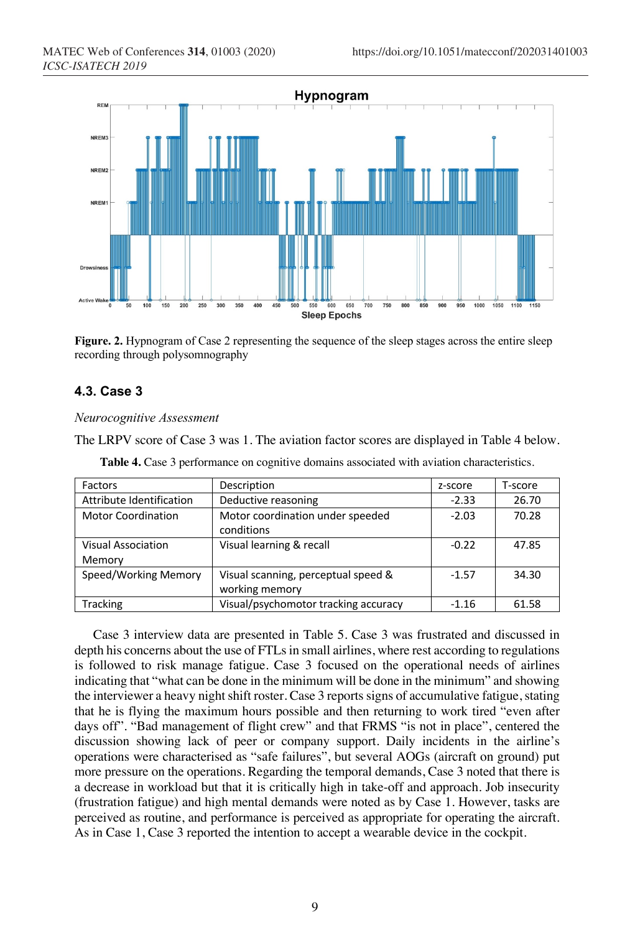

**Figure. 2.** Hypnogram of Case 2 representing the sequence of the sleep stages across the entire sleep recording through polysomnography

## **4.3. Case 3**

*Neurocognitive Assessment*

The LRPV score of Case 3 was 1. The aviation factor scores are displayed in Table 4 below.

| Factors                   | Description                          | z-score | T-score |
|---------------------------|--------------------------------------|---------|---------|
| Attribute Identification  | Deductive reasoning                  | $-2.33$ | 26.70   |
| <b>Motor Coordination</b> | Motor coordination under speeded     | $-2.03$ | 70.28   |
|                           | conditions                           |         |         |
| <b>Visual Association</b> | Visual learning & recall             | $-0.22$ | 47.85   |
| Memory                    |                                      |         |         |
| Speed/Working Memory      | Visual scanning, perceptual speed &  | $-1.57$ | 34.30   |
|                           | working memory                       |         |         |
| <b>Tracking</b>           | Visual/psychomotor tracking accuracy | $-1.16$ | 61.58   |

**Table 4.** Case 3 performance on cognitive domains associated with aviation characteristics.

Case 3 interview data are presented in Table 5. Case 3 was frustrated and discussed in depth his concerns about the use of FTLs in small airlines, where rest according to regulations is followed to risk manage fatigue. Case 3 focused on the operational needs of airlines indicating that "what can be done in the minimum will be done in the minimum" and showing the interviewer a heavy night shift roster. Case 3 reports signs of accumulative fatigue, stating that he is flying the maximum hours possible and then returning to work tired "even after days off". "Bad management of flight crew" and that FRMS "is not in place", centered the discussion showing lack of peer or company support. Daily incidents in the airline's operations were characterised as "safe failures", but several AOGs (aircraft on ground) put more pressure on the operations. Regarding the temporal demands, Case 3 noted that there is a decrease in workload but that it is critically high in take-off and approach. Job insecurity (frustration fatigue) and high mental demands were noted as by Case 1. However, tasks are perceived as routine, and performance is perceived as appropriate for operating the aircraft. As in Case 1, Case 3 reported the intention to accept a wearable device in the cockpit.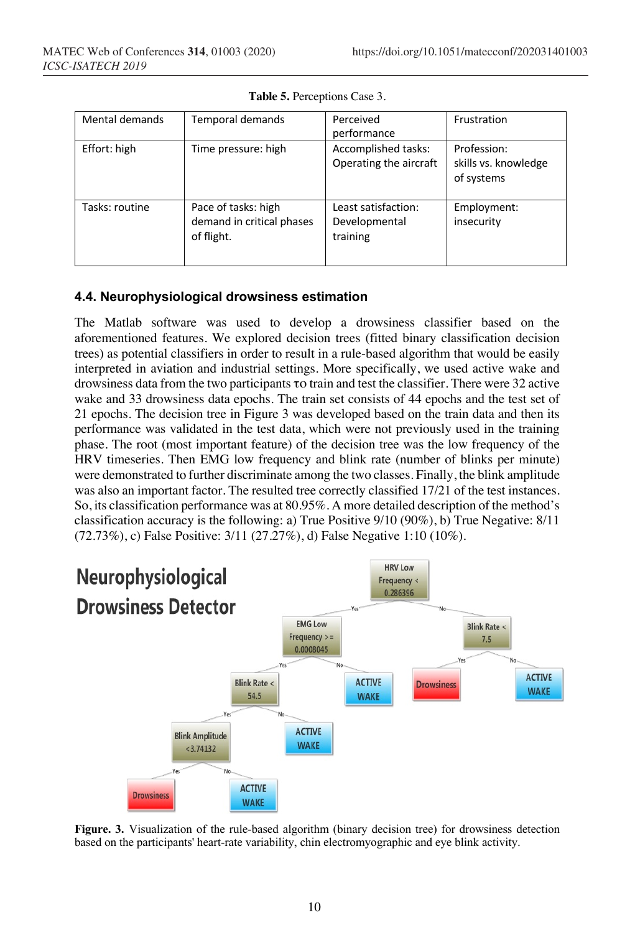| Mental demands | Temporal demands                                               | Perceived<br>performance                         | Frustration                                       |
|----------------|----------------------------------------------------------------|--------------------------------------------------|---------------------------------------------------|
| Effort: high   | Time pressure: high                                            | Accomplished tasks:<br>Operating the aircraft    | Profession:<br>skills vs. knowledge<br>of systems |
| Tasks: routine | Pace of tasks: high<br>demand in critical phases<br>of flight. | Least satisfaction:<br>Developmental<br>training | Employment:<br>insecurity                         |

**Table 5.** Perceptions Case 3.

## **4.4. Neurophysiological drowsiness estimation**

The Matlab software was used to develop a drowsiness classifier based on the aforementioned features. We explored decision trees (fitted binary classification decision trees) as potential classifiers in order to result in a rule-based algorithm that would be easily interpreted in aviation and industrial settings. More specifically, we used active wake and drowsiness data from the two participants το train and test the classifier. There were 32 active wake and 33 drowsiness data epochs. The train set consists of 44 epochs and the test set of 21 epochs. The decision tree in Figure 3 was developed based on the train data and then its performance was validated in the test data, which were not previously used in the training phase. The root (most important feature) of the decision tree was the low frequency of the HRV timeseries. Then EMG low frequency and blink rate (number of blinks per minute) were demonstrated to further discriminate among the two classes. Finally, the blink amplitude was also an important factor. The resulted tree correctly classified 17/21 of the test instances. So, its classification performance was at 80.95%. A more detailed description of the method's classification accuracy is the following: a) True Positive 9/10 (90%), b) True Negative: 8/11 (72.73%), c) False Positive: 3/11 (27.27%), d) False Negative 1:10 (10%).



**Figure. 3.** Visualization of the rule-based algorithm (binary decision tree) for drowsiness detection based on the participants' heart-rate variability, chin electromyographic and eye blink activity.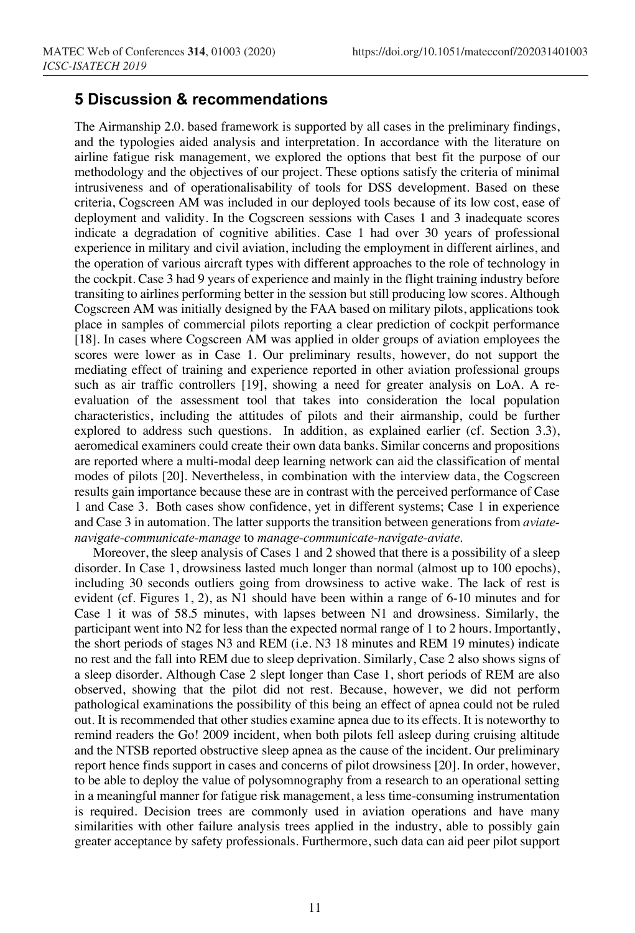## **5 Discussion & recommendations**

The Airmanship 2.0. based framework is supported by all cases in the preliminary findings, and the typologies aided analysis and interpretation. In accordance with the literature on airline fatigue risk management, we explored the options that best fit the purpose of our methodology and the objectives of our project. These options satisfy the criteria of minimal intrusiveness and of operationalisability of tools for DSS development. Based on these criteria, Cogscreen AM was included in our deployed tools because of its low cost, ease of deployment and validity. In the Cogscreen sessions with Cases 1 and 3 inadequate scores indicate a degradation of cognitive abilities. Case 1 had over 30 years of professional experience in military and civil aviation, including the employment in different airlines, and the operation of various aircraft types with different approaches to the role of technology in the cockpit. Case 3 had 9 years of experience and mainly in the flight training industry before transiting to airlines performing better in the session but still producing low scores. Although Cogscreen AM was initially designed by the FAA based on military pilots, applications took place in samples of commercial pilots reporting a clear prediction of cockpit performance [18]. In cases where Cogscreen AM was applied in older groups of aviation employees the scores were lower as in Case 1. Our preliminary results, however, do not support the mediating effect of training and experience reported in other aviation professional groups such as air traffic controllers [19], showing a need for greater analysis on LoA. A reevaluation of the assessment tool that takes into consideration the local population characteristics, including the attitudes of pilots and their airmanship, could be further explored to address such questions. In addition, as explained earlier (cf. Section 3.3), aeromedical examiners could create their own data banks. Similar concerns and propositions are reported where a multi-modal deep learning network can aid the classification of mental modes of pilots [20]. Nevertheless, in combination with the interview data, the Cogscreen results gain importance because these are in contrast with the perceived performance of Case 1 and Case 3. Both cases show confidence, yet in different systems; Case 1 in experience and Case 3 in automation. The latter supports the transition between generations from *aviatenavigate-communicate-manage* to *manage-communicate-navigate-aviate*.

Moreover, the sleep analysis of Cases 1 and 2 showed that there is a possibility of a sleep disorder. In Case 1, drowsiness lasted much longer than normal (almost up to 100 epochs), including 30 seconds outliers going from drowsiness to active wake. The lack of rest is evident (cf. Figures 1, 2), as N1 should have been within a range of 6-10 minutes and for Case 1 it was of 58.5 minutes, with lapses between N1 and drowsiness. Similarly, the participant went into N2 for less than the expected normal range of 1 to 2 hours. Importantly, the short periods of stages N3 and REM (i.e. N3 18 minutes and REM 19 minutes) indicate no rest and the fall into REM due to sleep deprivation. Similarly, Case 2 also shows signs of a sleep disorder. Although Case 2 slept longer than Case 1, short periods of REM are also observed, showing that the pilot did not rest. Because, however, we did not perform pathological examinations the possibility of this being an effect of apnea could not be ruled out. It is recommended that other studies examine apnea due to its effects. It is noteworthy to remind readers the Go! 2009 incident, when both pilots fell asleep during cruising altitude and the NTSB reported obstructive sleep apnea as the cause of the incident. Our preliminary report hence finds support in cases and concerns of pilot drowsiness [20]. In order, however, to be able to deploy the value of polysomnography from a research to an operational setting in a meaningful manner for fatigue risk management, a less time-consuming instrumentation is required. Decision trees are commonly used in aviation operations and have many similarities with other failure analysis trees applied in the industry, able to possibly gain greater acceptance by safety professionals. Furthermore, such data can aid peer pilot support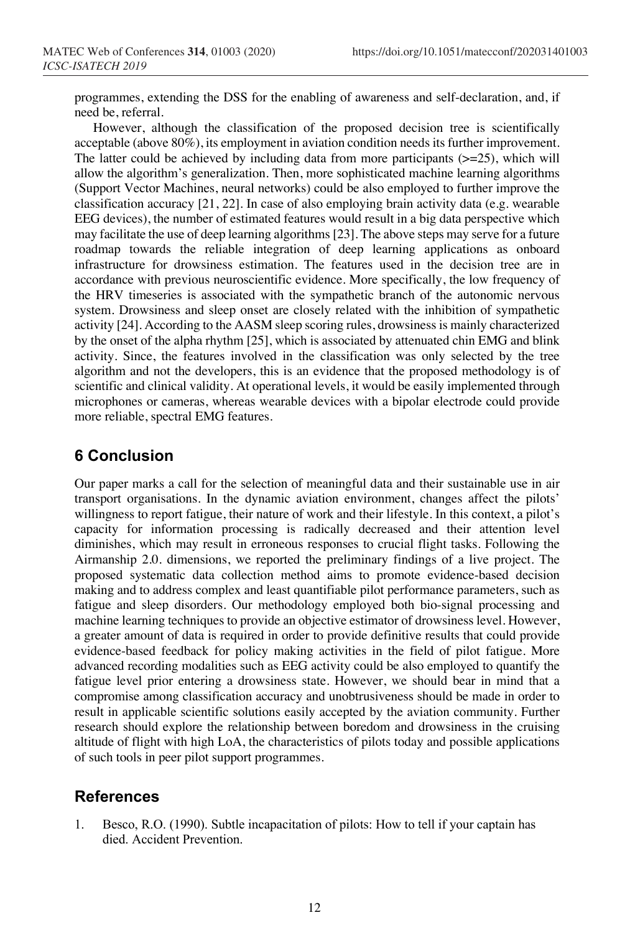programmes, extending the DSS for the enabling of awareness and self-declaration, and, if need be, referral.

However, although the classification of the proposed decision tree is scientifically acceptable (above 80%), its employment in aviation condition needs its further improvement. The latter could be achieved by including data from more participants  $(>=25)$ , which will allow the algorithm's generalization. Then, more sophisticated machine learning algorithms (Support Vector Machines, neural networks) could be also employed to further improve the classification accuracy [21, 22]. In case of also employing brain activity data (e.g. wearable EEG devices), the number of estimated features would result in a big data perspective which may facilitate the use of deep learning algorithms [23]. The above steps may serve for a future roadmap towards the reliable integration of deep learning applications as onboard infrastructure for drowsiness estimation. The features used in the decision tree are in accordance with previous neuroscientific evidence. More specifically, the low frequency of the HRV timeseries is associated with the sympathetic branch of the autonomic nervous system. Drowsiness and sleep onset are closely related with the inhibition of sympathetic activity [24]. According to the AASM sleep scoring rules, drowsiness is mainly characterized by the onset of the alpha rhythm [25], which is associated by attenuated chin EMG and blink activity. Since, the features involved in the classification was only selected by the tree algorithm and not the developers, this is an evidence that the proposed methodology is of scientific and clinical validity. At operational levels, it would be easily implemented through microphones or cameras, whereas wearable devices with a bipolar electrode could provide more reliable, spectral EMG features.

# **6 Conclusion**

Our paper marks a call for the selection of meaningful data and their sustainable use in air transport organisations. In the dynamic aviation environment, changes affect the pilots' willingness to report fatigue, their nature of work and their lifestyle. In this context, a pilot's capacity for information processing is radically decreased and their attention level diminishes, which may result in erroneous responses to crucial flight tasks. Following the Airmanship 2.0. dimensions, we reported the preliminary findings of a live project. The proposed systematic data collection method aims to promote evidence-based decision making and to address complex and least quantifiable pilot performance parameters, such as fatigue and sleep disorders. Our methodology employed both bio-signal processing and machine learning techniques to provide an objective estimator of drowsiness level. However, a greater amount of data is required in order to provide definitive results that could provide evidence-based feedback for policy making activities in the field of pilot fatigue. More advanced recording modalities such as EEG activity could be also employed to quantify the fatigue level prior entering a drowsiness state. However, we should bear in mind that a compromise among classification accuracy and unobtrusiveness should be made in order to result in applicable scientific solutions easily accepted by the aviation community. Further research should explore the relationship between boredom and drowsiness in the cruising altitude of flight with high LoA, the characteristics of pilots today and possible applications of such tools in peer pilot support programmes.

# **References**

1. Besco, R.O. (1990). Subtle incapacitation of pilots: How to tell if your captain has died. Accident Prevention.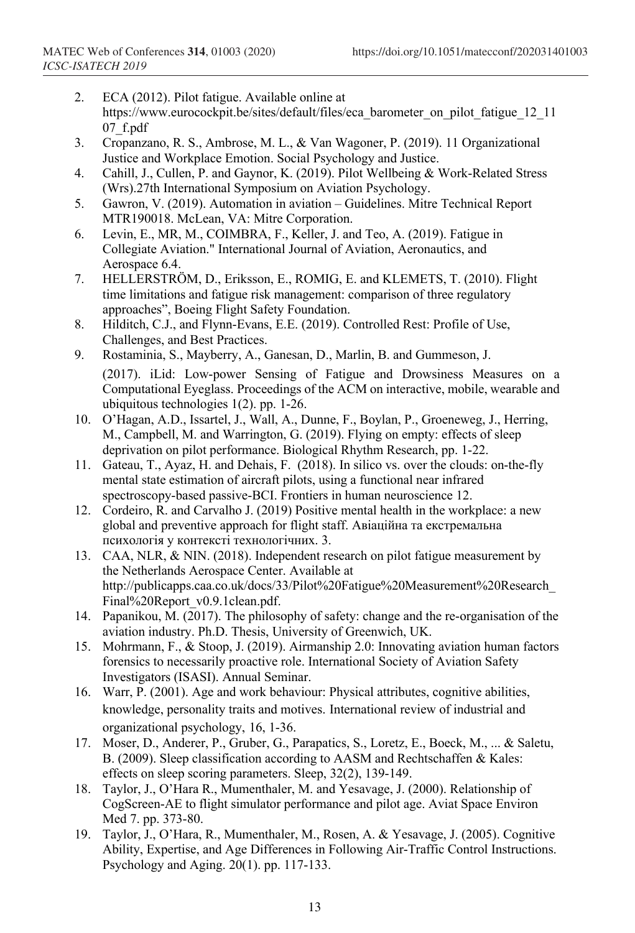- 2. ECA (2012). Pilot fatigue. Available online at https://www.eurocockpit.be/sites/default/files/eca\_barometer\_on\_pilot\_fatigue\_12\_11 07\_f.pdf
- 3. Cropanzano, R. S., Ambrose, M. L., & Van Wagoner, P. (2019). 11 Organizational Justice and Workplace Emotion. Social Psychology and Justice.
- 4. Cahill, J., Cullen, P. and Gaynor, K. (2019). Pilot Wellbeing & Work-Related Stress (Wrs).27th International Symposium on Aviation Psychology.
- 5. Gawron, V. (2019). Automation in aviation Guidelines. Mitre Technical Report MTR190018. McLean, VA: Mitre Corporation.
- 6. Levin, E., MR, M., COIMBRA, F., Keller, J. and Teo, A. (2019). Fatigue in Collegiate Aviation." International Journal of Aviation, Aeronautics, and Aerospace 6.4.
- 7. HELLERSTRÖM, D., Eriksson, E., ROMIG, E. and KLEMETS, T. (2010). Flight time limitations and fatigue risk management: comparison of three regulatory approaches", Boeing Flight Safety Foundation.
- 8. Hilditch, C.J., and Flynn-Evans, E.E. (2019). Controlled Rest: Profile of Use, Challenges, and Best Practices.
- 9. Rostaminia, S., Mayberry, A., Ganesan, D., Marlin, B. and Gummeson, J. (2017). iLid: Low-power Sensing of Fatigue and Drowsiness Measures on a Computational Eyeglass. Proceedings of the ACM on interactive, mobile, wearable and ubiquitous technologies 1(2). pp. 1-26.
- 10. O'Hagan, A.D., Issartel, J., Wall, A., Dunne, F., Boylan, P., Groeneweg, J., Herring, M., Campbell, M. and Warrington, G. (2019). Flying on empty: effects of sleep deprivation on pilot performance. Biological Rhythm Research, pp. 1-22.
- 11. Gateau, T., Ayaz, H. and Dehais, F. (2018). In silico vs. over the clouds: on-the-fly mental state estimation of aircraft pilots, using a functional near infrared spectroscopy-based passive-BCI. Frontiers in human neuroscience 12.
- 12. Cordeiro, R. and Carvalho J. (2019) Positive mental health in the workplace: a new global and preventive approach for flight staff. Авіаційна та екстремальна психологія у контексті технологічних. 3.
- 13. CAA, NLR, & NIN. (2018). Independent research on pilot fatigue measurement by the Netherlands Aerospace Center. Available at http://publicapps.caa.co.uk/docs/33/Pilot%20Fatigue%20Measurement%20Research\_ Final%20Report\_v0.9.1clean.pdf.
- 14. Papanikou, M. (2017). The philosophy of safety: change and the re-organisation of the aviation industry. Ph.D. Thesis, University of Greenwich, UK.
- 15. Mohrmann, F., & Stoop, J. (2019). Airmanship 2.0: Innovating aviation human factors forensics to necessarily proactive role. International Society of Aviation Safety Investigators (ISASI). Annual Seminar.
- 16. Warr, P. (2001). Age and work behaviour: Physical attributes, cognitive abilities, knowledge, personality traits and motives. International review of industrial and organizational psychology, 16, 1-36.
- 17. Moser, D., Anderer, P., Gruber, G., Parapatics, S., Loretz, E., Boeck, M., ... & Saletu, B. (2009). Sleep classification according to AASM and Rechtschaffen & Kales: effects on sleep scoring parameters. Sleep, 32(2), 139-149.
- 18. Taylor, J., O'Hara R., Mumenthaler, M. and Yesavage, J. (2000). Relationship of CogScreen-AE to flight simulator performance and pilot age. Aviat Space Environ Med 7. pp. 373-80.
- 19. Taylor, J., O'Hara, R., Mumenthaler, M., Rosen, A. & Yesavage, J. (2005). Cognitive Ability, Expertise, and Age Differences in Following Air-Traffic Control Instructions. Psychology and Aging. 20(1). pp. 117-133.